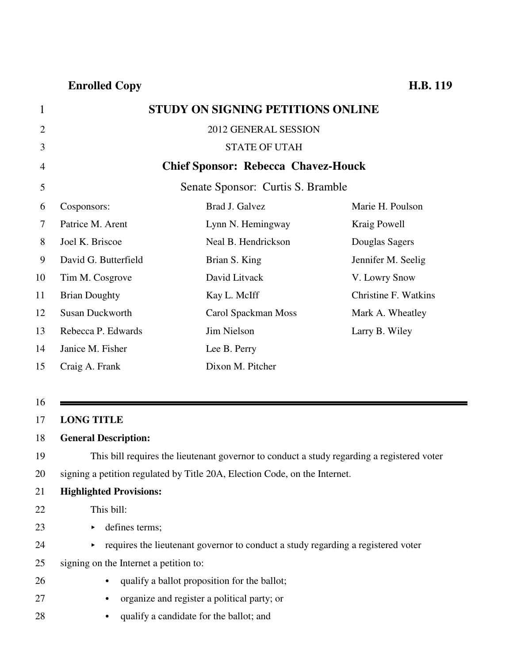## 1 **STUDY ON SIGNING PETITIONS ONLINE**

| $\overline{2}$ |                        | 2012 GENERAL SESSION                       |                             |
|----------------|------------------------|--------------------------------------------|-----------------------------|
| 3              |                        | <b>STATE OF UTAH</b>                       |                             |
| 4              |                        | <b>Chief Sponsor: Rebecca Chavez-Houck</b> |                             |
| 5              |                        | Senate Sponsor: Curtis S. Bramble          |                             |
| 6              | Cosponsors:            | Brad J. Galvez                             | Marie H. Poulson            |
| 7              | Patrice M. Arent       | Lynn N. Hemingway                          | Kraig Powell                |
| 8              | Joel K. Briscoe        | Neal B. Hendrickson                        | Douglas Sagers              |
| 9              | David G. Butterfield   | Brian S. King                              | Jennifer M. Seelig          |
| 10             | Tim M. Cosgrove        | David Litvack                              | V. Lowry Snow               |
| 11             | <b>Brian Doughty</b>   | Kay L. McIff                               | <b>Christine F. Watkins</b> |
| 12             | <b>Susan Duckworth</b> | Carol Spackman Moss                        | Mark A. Wheatley            |
| 13             | Rebecca P. Edwards     | Jim Nielson                                | Larry B. Wiley              |
| 14             | Janice M. Fisher       | Lee B. Perry                               |                             |
| 15             | Craig A. Frank         | Dixon M. Pitcher                           |                             |

### 16

### 17 **LONG TITLE**

### 18 **General Description:**

19 This bill requires the lieutenant governor to conduct a study regarding a registered voter 20 signing a petition regulated by Title 20A, Election Code, on the Internet.

### 21 **Highlighted Provisions:**

- 22 This bill:
- 23 b defines terms;
- $24$  equires the lieutenant governor to conduct a study regarding a registered voter
- 25 signing on the Internet a petition to:
- 26 equalify a ballot proposition for the ballot;
- 27 organize and register a political party; or
- 28 equalify a candidate for the ballot; and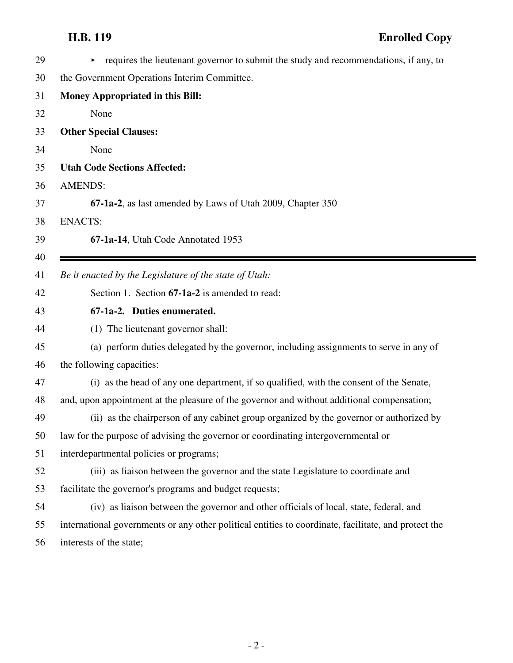| 29 | requires the lieutenant governor to submit the study and recommendations, if any, to                 |  |
|----|------------------------------------------------------------------------------------------------------|--|
| 30 | the Government Operations Interim Committee.                                                         |  |
| 31 | <b>Money Appropriated in this Bill:</b>                                                              |  |
| 32 | None                                                                                                 |  |
| 33 | <b>Other Special Clauses:</b>                                                                        |  |
| 34 | None                                                                                                 |  |
| 35 | <b>Utah Code Sections Affected:</b>                                                                  |  |
| 36 | <b>AMENDS:</b>                                                                                       |  |
| 37 | 67-1a-2, as last amended by Laws of Utah 2009, Chapter 350                                           |  |
| 38 | <b>ENACTS:</b>                                                                                       |  |
| 39 | 67-1a-14, Utah Code Annotated 1953                                                                   |  |
| 40 |                                                                                                      |  |
| 41 | Be it enacted by the Legislature of the state of Utah:                                               |  |
| 42 | Section 1. Section 67-1a-2 is amended to read:                                                       |  |
| 43 | 67-1a-2. Duties enumerated.                                                                          |  |
| 44 | (1) The lieutenant governor shall:                                                                   |  |
| 45 | (a) perform duties delegated by the governor, including assignments to serve in any of               |  |
| 46 | the following capacities:                                                                            |  |
| 47 | (i) as the head of any one department, if so qualified, with the consent of the Senate,              |  |
| 48 | and, upon appointment at the pleasure of the governor and without additional compensation;           |  |
| 49 | (ii) as the chairperson of any cabinet group organized by the governor or authorized by              |  |
| 50 | law for the purpose of advising the governor or coordinating intergovernmental or                    |  |
| 51 | interdepartmental policies or programs;                                                              |  |
| 52 | (iii) as liaison between the governor and the state Legislature to coordinate and                    |  |
| 53 | facilitate the governor's programs and budget requests;                                              |  |
| 54 | (iv) as liaison between the governor and other officials of local, state, federal, and               |  |
| 55 | international governments or any other political entities to coordinate, facilitate, and protect the |  |
| 56 | interests of the state;                                                                              |  |
|    |                                                                                                      |  |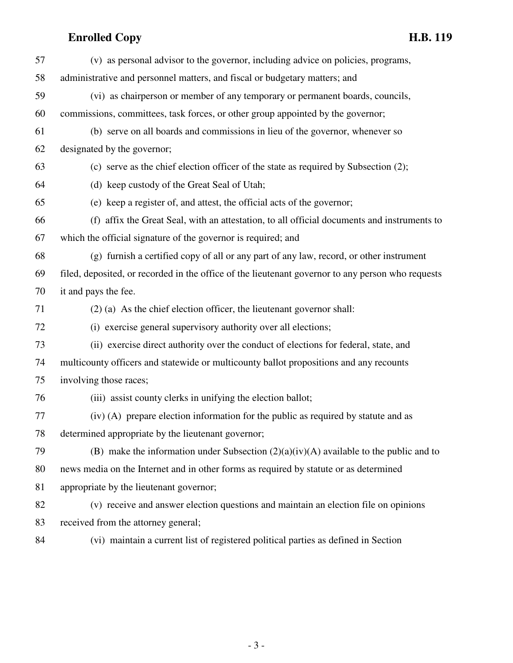| 57 | (v) as personal advisor to the governor, including advice on policies, programs,                  |
|----|---------------------------------------------------------------------------------------------------|
| 58 | administrative and personnel matters, and fiscal or budgetary matters; and                        |
| 59 | (vi) as chairperson or member of any temporary or permanent boards, councils,                     |
| 60 | commissions, committees, task forces, or other group appointed by the governor;                   |
| 61 | (b) serve on all boards and commissions in lieu of the governor, whenever so                      |
| 62 | designated by the governor;                                                                       |
| 63 | (c) serve as the chief election officer of the state as required by Subsection (2);               |
| 64 | (d) keep custody of the Great Seal of Utah;                                                       |
| 65 | (e) keep a register of, and attest, the official acts of the governor;                            |
| 66 | (f) affix the Great Seal, with an attestation, to all official documents and instruments to       |
| 67 | which the official signature of the governor is required; and                                     |
| 68 | (g) furnish a certified copy of all or any part of any law, record, or other instrument           |
| 69 | filed, deposited, or recorded in the office of the lieutenant governor to any person who requests |
| 70 | it and pays the fee.                                                                              |
| 71 | $(2)$ (a) As the chief election officer, the lieutenant governor shall:                           |
| 72 | (i) exercise general supervisory authority over all elections;                                    |
| 73 | (ii) exercise direct authority over the conduct of elections for federal, state, and              |
| 74 | multicounty officers and statewide or multicounty ballot propositions and any recounts            |
| 75 | involving those races;                                                                            |
| 76 | (iii) assist county clerks in unifying the election ballot;                                       |
| 77 | (iv) (A) prepare election information for the public as required by statute and as                |
| 78 | determined appropriate by the lieutenant governor;                                                |
| 79 | (B) make the information under Subsection $(2)(a)(iv)(A)$ available to the public and to          |
| 80 | news media on the Internet and in other forms as required by statute or as determined             |
| 81 | appropriate by the lieutenant governor;                                                           |
| 82 | (v) receive and answer election questions and maintain an election file on opinions               |
| 83 | received from the attorney general;                                                               |
| 84 | (vi) maintain a current list of registered political parties as defined in Section                |

- 3 -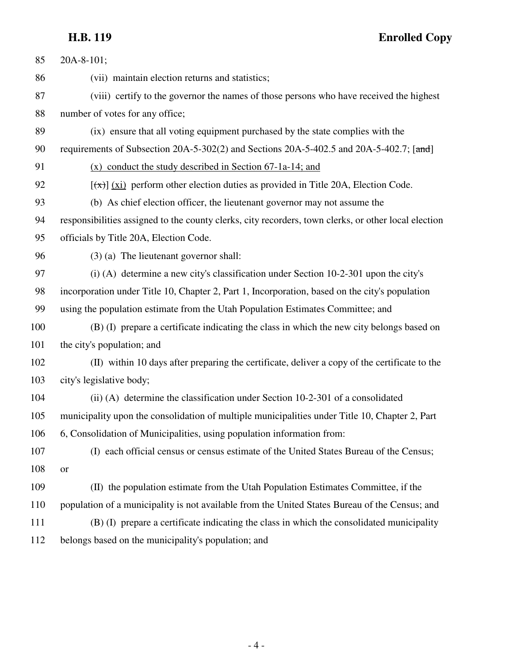# **H.B. 119 Enrolled Copy**

| 85  | 20A-8-101;                                                                                           |  |
|-----|------------------------------------------------------------------------------------------------------|--|
| 86  | (vii) maintain election returns and statistics;                                                      |  |
| 87  | (viii) certify to the governor the names of those persons who have received the highest              |  |
| 88  | number of votes for any office;                                                                      |  |
| 89  | (ix) ensure that all voting equipment purchased by the state complies with the                       |  |
| 90  | requirements of Subsection 20A-5-302(2) and Sections 20A-5-402.5 and 20A-5-402.7; [and]              |  |
| 91  | $(x)$ conduct the study described in Section 67-1a-14; and                                           |  |
| 92  | $[\overline{(\pi)}]$ (xi) perform other election duties as provided in Title 20A, Election Code.     |  |
| 93  | (b) As chief election officer, the lieutenant governor may not assume the                            |  |
| 94  | responsibilities assigned to the county clerks, city recorders, town clerks, or other local election |  |
| 95  | officials by Title 20A, Election Code.                                                               |  |
| 96  | $(3)$ (a) The lieutenant governor shall:                                                             |  |
| 97  | $(i)$ (A) determine a new city's classification under Section 10-2-301 upon the city's               |  |
| 98  | incorporation under Title 10, Chapter 2, Part 1, Incorporation, based on the city's population       |  |
| 99  | using the population estimate from the Utah Population Estimates Committee; and                      |  |
| 100 | (B) (I) prepare a certificate indicating the class in which the new city belongs based on            |  |
| 101 | the city's population; and                                                                           |  |
| 102 | (II) within 10 days after preparing the certificate, deliver a copy of the certificate to the        |  |
| 103 | city's legislative body;                                                                             |  |
| 104 | (ii) (A) determine the classification under Section 10-2-301 of a consolidated                       |  |
| 105 | municipality upon the consolidation of multiple municipalities under Title 10, Chapter 2, Part       |  |
| 106 | 6, Consolidation of Municipalities, using population information from:                               |  |
| 107 | (I) each official census or census estimate of the United States Bureau of the Census;               |  |
| 108 | <b>or</b>                                                                                            |  |
| 109 | (II) the population estimate from the Utah Population Estimates Committee, if the                    |  |
| 110 | population of a municipality is not available from the United States Bureau of the Census; and       |  |
| 111 | (B) (I) prepare a certificate indicating the class in which the consolidated municipality            |  |
| 112 | belongs based on the municipality's population; and                                                  |  |
|     |                                                                                                      |  |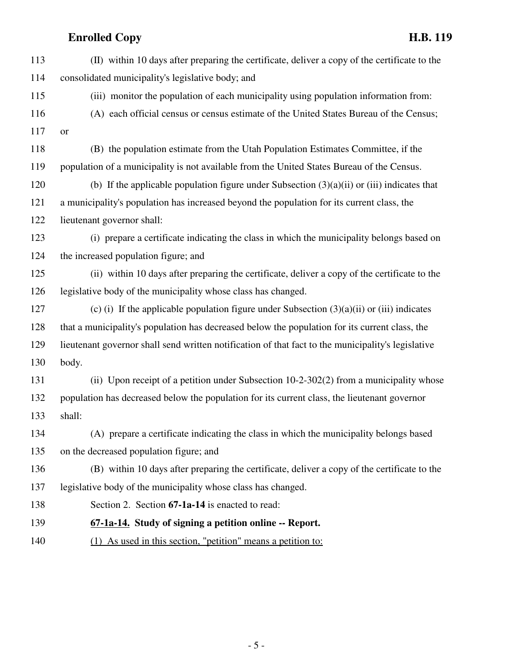| 113 | (II) within 10 days after preparing the certificate, deliver a copy of the certificate to the      |  |
|-----|----------------------------------------------------------------------------------------------------|--|
| 114 | consolidated municipality's legislative body; and                                                  |  |
| 115 | (iii) monitor the population of each municipality using population information from:               |  |
| 116 | (A) each official census or census estimate of the United States Bureau of the Census;             |  |
| 117 | <b>or</b>                                                                                          |  |
| 118 | (B) the population estimate from the Utah Population Estimates Committee, if the                   |  |
| 119 | population of a municipality is not available from the United States Bureau of the Census.         |  |
| 120 | (b) If the applicable population figure under Subsection $(3)(a)(ii)$ or (iii) indicates that      |  |
| 121 | a municipality's population has increased beyond the population for its current class, the         |  |
| 122 | lieutenant governor shall:                                                                         |  |
| 123 | (i) prepare a certificate indicating the class in which the municipality belongs based on          |  |
| 124 | the increased population figure; and                                                               |  |
| 125 | (ii) within 10 days after preparing the certificate, deliver a copy of the certificate to the      |  |
| 126 | legislative body of the municipality whose class has changed.                                      |  |
| 127 | (c) (i) If the applicable population figure under Subsection $(3)(a)(ii)$ or (iii) indicates       |  |
| 128 | that a municipality's population has decreased below the population for its current class, the     |  |
| 129 | lieutenant governor shall send written notification of that fact to the municipality's legislative |  |
| 130 | body.                                                                                              |  |
| 131 | (ii) Upon receipt of a petition under Subsection 10-2-302(2) from a municipality whose             |  |
| 132 | population has decreased below the population for its current class, the lieutenant governor       |  |
| 133 | shall:                                                                                             |  |
| 134 | (A) prepare a certificate indicating the class in which the municipality belongs based             |  |
| 135 | on the decreased population figure; and                                                            |  |
| 136 | (B) within 10 days after preparing the certificate, deliver a copy of the certificate to the       |  |
| 137 | legislative body of the municipality whose class has changed.                                      |  |
| 138 | Section 2. Section 67-1a-14 is enacted to read:                                                    |  |
| 139 | 67-1a-14. Study of signing a petition online -- Report.                                            |  |
| 140 | As used in this section, "petition" means a petition to:<br>(1)                                    |  |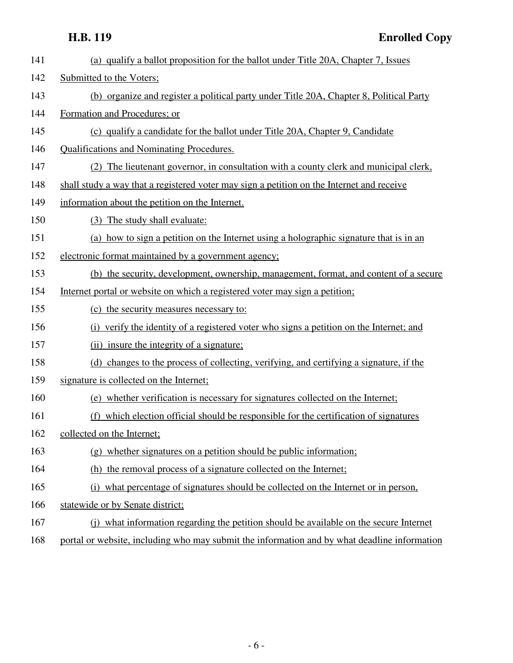| 141 | (a) qualify a ballot proposition for the ballot under Title 20A, Chapter 7, Issues        |  |
|-----|-------------------------------------------------------------------------------------------|--|
| 142 | Submitted to the Voters;                                                                  |  |
| 143 | (b) organize and register a political party under Title 20A, Chapter 8, Political Party   |  |
| 144 | Formation and Procedures; or                                                              |  |
| 145 | (c) qualify a candidate for the ballot under Title 20A, Chapter 9, Candidate              |  |
| 146 | Qualifications and Nominating Procedures.                                                 |  |
| 147 | (2) The lieutenant governor, in consultation with a county clerk and municipal clerk,     |  |
| 148 | shall study a way that a registered voter may sign a petition on the Internet and receive |  |
| 149 | information about the petition on the Internet.                                           |  |
| 150 | (3) The study shall evaluate:                                                             |  |
| 151 | (a) how to sign a petition on the Internet using a holographic signature that is in an    |  |
| 152 | electronic format maintained by a government agency;                                      |  |
| 153 | (b) the security, development, ownership, management, format, and content of a secure     |  |
| 154 | Internet portal or website on which a registered voter may sign a petition;               |  |
| 155 | (c) the security measures necessary to:                                                   |  |
| 156 | (i) verify the identity of a registered voter who signs a petition on the Internet; and   |  |
| 157 | (ii) insure the integrity of a signature;                                                 |  |
| 158 | (d) changes to the process of collecting, verifying, and certifying a signature, if the   |  |
| 159 | signature is collected on the Internet;                                                   |  |
| 160 | (e) whether verification is necessary for signatures collected on the Internet;           |  |
| 161 | (f) which election official should be responsible for the certification of signatures     |  |
| 162 | collected on the Internet;                                                                |  |
| 163 | (g) whether signatures on a petition should be public information;                        |  |
| 164 | (h) the removal process of a signature collected on the Internet;                         |  |
| 165 | (i) what percentage of signatures should be collected on the Internet or in person.       |  |
| 166 | statewide or by Senate district;                                                          |  |
| 167 | (i) what information regarding the petition should be available on the secure Internet    |  |

168 portal or website, including who may submit the information and by what deadline information